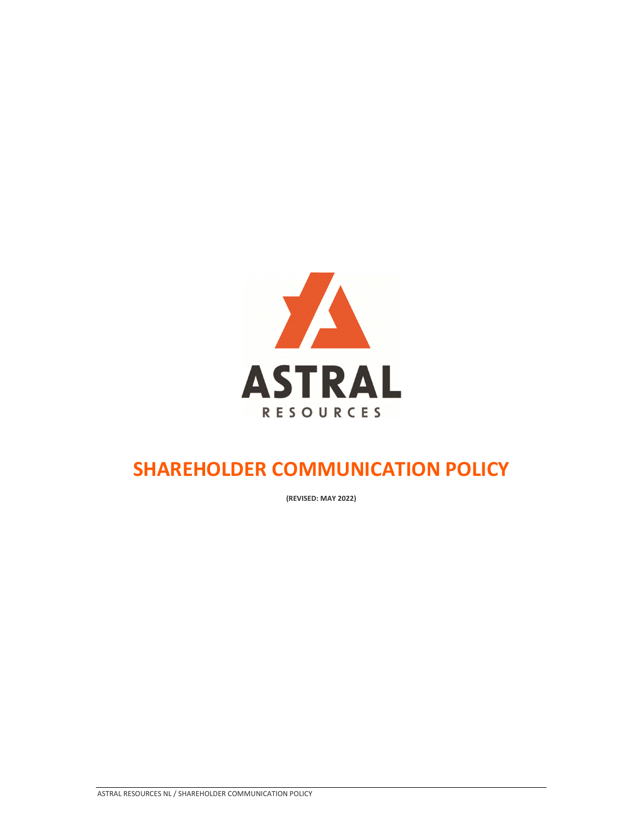

## **SHAREHOLDER COMMUNICATION POLICY**

**(REVISED: MAY 2022)**

ASTRAL RESOURCES NL / SHAREHOLDER COMMUNICATION POLICY